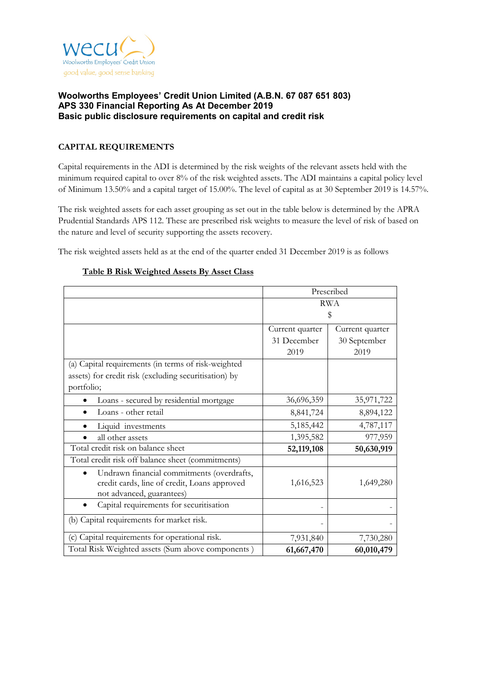

# **CAPITAL REQUIREMENTS**

Capital requirements in the ADI is determined by the risk weights of the relevant assets held with the minimum required capital to over 8% of the risk weighted assets. The ADI maintains a capital policy level of Minimum 13.50% and a capital target of 15.00%. The level of capital as at 30 September 2019 is 14.57%.

The risk weighted assets for each asset grouping as set out in the table below is determined by the APRA Prudential Standards APS 112. These are prescribed risk weights to measure the level of risk of based on the nature and level of security supporting the assets recovery.

The risk weighted assets held as at the end of the quarter ended 31 December 2019 is as follows

|                                                                                                                         | Prescribed      |                 |  |
|-------------------------------------------------------------------------------------------------------------------------|-----------------|-----------------|--|
|                                                                                                                         | <b>RWA</b>      |                 |  |
|                                                                                                                         | \$              |                 |  |
|                                                                                                                         | Current quarter | Current quarter |  |
|                                                                                                                         | 31 December     | 30 September    |  |
|                                                                                                                         | 2019            | 2019            |  |
| (a) Capital requirements (in terms of risk-weighted                                                                     |                 |                 |  |
| assets) for credit risk (excluding securitisation) by                                                                   |                 |                 |  |
| portfolio;                                                                                                              |                 |                 |  |
| Loans - secured by residential mortgage                                                                                 | 36,696,359      | 35,971,722      |  |
| Loans - other retail                                                                                                    | 8,841,724       | 8,894,122       |  |
| Liquid investments                                                                                                      | 5,185,442       | 4,787,117       |  |
| all other assets                                                                                                        | 1,395,582       | 977,959         |  |
| Total credit risk on balance sheet                                                                                      | 52,119,108      | 50,630,919      |  |
| Total credit risk off balance sheet (commitments)                                                                       |                 |                 |  |
| Undrawn financial commitments (overdrafts,<br>credit cards, line of credit, Loans approved<br>not advanced, guarantees) | 1,616,523       | 1,649,280       |  |
| Capital requirements for securitisation                                                                                 |                 |                 |  |
| (b) Capital requirements for market risk.                                                                               |                 |                 |  |
| (c) Capital requirements for operational risk.                                                                          | 7,931,840       | 7,730,280       |  |
| Total Risk Weighted assets (Sum above components)                                                                       | 61,667,470      | 60,010,479      |  |

## **Table B Risk Weighted Assets By Asset Class**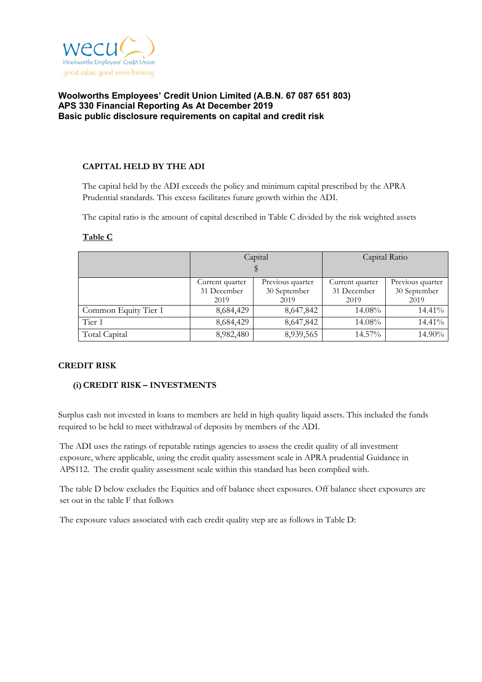

## **CAPITAL HELD BY THE ADI**

The capital held by the ADI exceeds the policy and minimum capital prescribed by the APRA Prudential standards. This excess facilitates future growth within the ADI.

The capital ratio is the amount of capital described in Table C divided by the risk weighted assets

|                      |                             | Capital          | Capital Ratio   |                  |  |
|----------------------|-----------------------------|------------------|-----------------|------------------|--|
|                      |                             |                  |                 |                  |  |
|                      | Current quarter             | Previous quarter | Current quarter | Previous quarter |  |
|                      | 31 December<br>30 September |                  | 31 December     | 30 September     |  |
|                      | 2019                        | 2019             | 2019            | 2019             |  |
| Common Equity Tier 1 | 8,684,429                   | 8,647,842        | 14.08%          | 14.41%           |  |
| Tier 1               | 8,684,429                   | 8,647,842        | 14.08%          | 14.41%           |  |
| Total Capital        | 8,982,480                   | 8,939,565        | 14.57%          | 14.90%           |  |

### **Table C**

### **CREDIT RISK**

# **(i)CREDIT RISK – INVESTMENTS**

Surplus cash not invested in loans to members are held in high quality liquid assets. This included the funds required to be held to meet withdrawal of deposits by members of the ADI.

The ADI uses the ratings of reputable ratings agencies to assess the credit quality of all investment exposure, where applicable, using the credit quality assessment scale in APRA prudential Guidance in APS112. The credit quality assessment scale within this standard has been complied with.

The table D below excludes the Equities and off balance sheet exposures. Off balance sheet exposures are set out in the table F that follows

The exposure values associated with each credit quality step are as follows in Table D: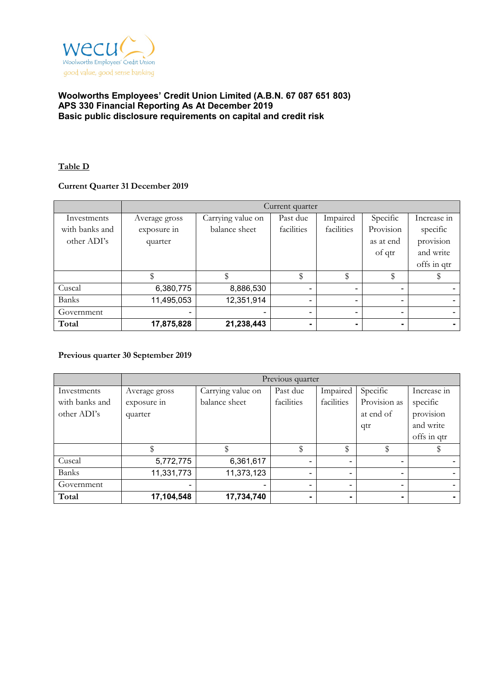

## **Table D**

## **Current Quarter 31 December 2019**

|                | Current quarter |                   |                |                |           |                          |
|----------------|-----------------|-------------------|----------------|----------------|-----------|--------------------------|
| Investments    | Average gross   | Carrying value on | Past due       | Impaired       | Specific  | Increase in              |
| with banks and | exposure in     | balance sheet     | facilities     | facilities     | Provision | specific                 |
| other ADI's    | quarter         |                   |                |                | as at end | provision                |
|                |                 |                   |                |                | of qtr    | and write                |
|                |                 |                   |                |                |           | offs in qtr              |
|                |                 |                   | \$             | \$             | \$        |                          |
| Cuscal         | 6,380,775       | 8,886,530         | $\blacksquare$ |                | ۰         |                          |
| Banks          | 11,495,053      | 12,351,914        | $\blacksquare$ | $\blacksquare$ | $\sim$    | $\overline{\phantom{0}}$ |
| Government     | -               |                   | ۰              |                | ۰         |                          |
| Total          | 17,875,828      | 21,238,443        |                |                | ۰.        |                          |

### **Previous quarter 30 September 2019**

|                | Previous quarter |                   |            |            |              |             |  |
|----------------|------------------|-------------------|------------|------------|--------------|-------------|--|
| Investments    | Average gross    | Carrying value on | Past due   | Impaired   | Specific     | Increase in |  |
| with banks and | exposure in      | balance sheet     | facilities | facilities | Provision as | specific    |  |
| other ADI's    | quarter          |                   |            |            | at end of    | provision   |  |
|                |                  |                   |            |            | qtr          | and write   |  |
|                |                  |                   |            |            |              | offs in qtr |  |
|                |                  |                   | \$         | \$         |              |             |  |
| Cuscal         | 5,772,775        | 6,361,617         |            |            | ۰            |             |  |
| <b>Banks</b>   | 11,331,773       | 11,373,123        |            |            | ۰            |             |  |
| Government     |                  |                   |            |            | ۰            |             |  |
| Total          | 17,104,548       | 17,734,740        |            |            | ۰            |             |  |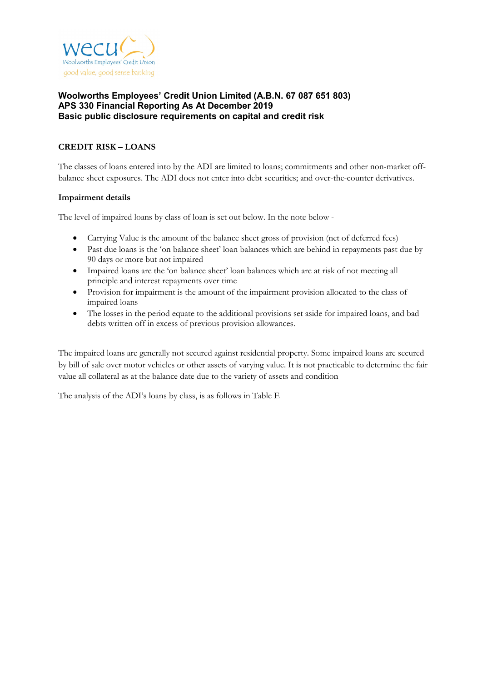

# **CREDIT RISK – LOANS**

The classes of loans entered into by the ADI are limited to loans; commitments and other non-market offbalance sheet exposures. The ADI does not enter into debt securities; and over-the-counter derivatives.

### **Impairment details**

The level of impaired loans by class of loan is set out below. In the note below -

- Carrying Value is the amount of the balance sheet gross of provision (net of deferred fees)
- Past due loans is the 'on balance sheet' loan balances which are behind in repayments past due by 90 days or more but not impaired
- Impaired loans are the 'on balance sheet' loan balances which are at risk of not meeting all principle and interest repayments over time
- Provision for impairment is the amount of the impairment provision allocated to the class of impaired loans
- The losses in the period equate to the additional provisions set aside for impaired loans, and bad debts written off in excess of previous provision allowances.

The impaired loans are generally not secured against residential property. Some impaired loans are secured by bill of sale over motor vehicles or other assets of varying value. It is not practicable to determine the fair value all collateral as at the balance date due to the variety of assets and condition

The analysis of the ADI's loans by class, is as follows in Table E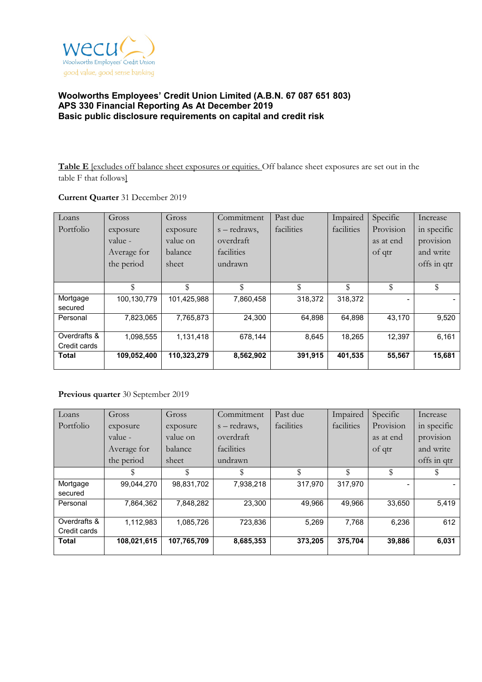

**Table E** [excludes off balance sheet exposures or equities. Off balance sheet exposures are set out in the table F that follows]

## **Current Quarter** 31 December 2019

| Loans        | Gross       | Gross       | Commitment   | Past due   | Impaired   | Specific  | Increase    |
|--------------|-------------|-------------|--------------|------------|------------|-----------|-------------|
| Portfolio    | exposure    | exposure    | s – redraws, | facilities | facilities | Provision | in specific |
|              | value -     | value on    | overdraft    |            |            | as at end | provision   |
|              | Average for | balance     | facilities   |            |            | of qtr    | and write   |
|              | the period  | sheet       | undrawn      |            |            |           | offs in qtr |
|              |             |             |              |            |            |           |             |
|              | \$          | \$          | \$           | \$         | \$         | \$        | \$          |
| Mortgage     | 100,130,779 | 101,425,988 | 7,860,458    | 318,372    | 318.372    |           |             |
| secured      |             |             |              |            |            |           |             |
| Personal     | 7,823,065   | 7,765,873   | 24,300       | 64,898     | 64,898     | 43,170    | 9,520       |
|              |             |             |              |            |            |           |             |
| Overdrafts & | 1,098,555   | 1,131,418   | 678,144      | 8,645      | 18,265     | 12,397    | 6,161       |
| Credit cards |             |             |              |            |            |           |             |
| <b>Total</b> | 109,052,400 | 110,323,279 | 8,562,902    | 391,915    | 401,535    | 55,567    | 15,681      |

# **Previous quarter** 30 September 2019

| Loans        | Gross       | Gross       | Commitment   | Past due   | Impaired   | Specific  | Increase    |
|--------------|-------------|-------------|--------------|------------|------------|-----------|-------------|
| Portfolio    | exposure    | exposure    | s – redraws, | facilities | facilities | Provision | in specific |
|              | value -     | value on    | overdraft    |            |            | as at end | provision   |
|              | Average for | balance     | facilities   |            |            | of qtr    | and write   |
|              | the period  | sheet       | undrawn      |            |            |           | offs in qtr |
|              | \$          | \$          |              | \$         | \$         | \$        |             |
| Mortgage     | 99.044.270  | 98,831,702  | 7,938,218    | 317,970    | 317.970    |           |             |
| secured      |             |             |              |            |            |           |             |
| Personal     | 7,864,362   | 7,848,282   | 23,300       | 49.966     | 49.966     | 33,650    | 5,419       |
| Overdrafts & | 1,112,983   | 1,085,726   | 723,836      | 5,269      | 7,768      | 6,236     | 612         |
| Credit cards |             |             |              |            |            |           |             |
| <b>Total</b> | 108,021,615 | 107,765,709 | 8,685,353    | 373,205    | 375,704    | 39,886    | 6,031       |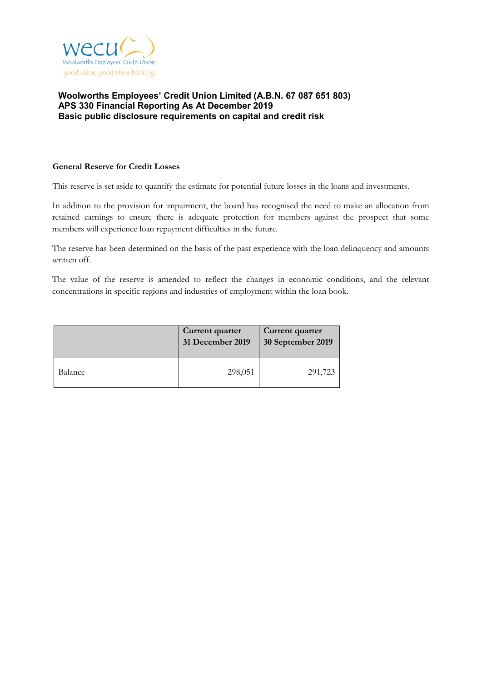

### **General Reserve for Credit Losses**

This reserve is set aside to quantify the estimate for potential future losses in the loans and investments.

In addition to the provision for impairment, the board has recognised the need to make an allocation from retained earnings to ensure there is adequate protection for members against the prospect that some members will experience loan repayment difficulties in the future.

The reserve has been determined on the basis of the past experience with the loan delinquency and amounts written off.

The value of the reserve is amended to reflect the changes in economic conditions, and the relevant concentrations in specific regions and industries of employment within the loan book.

|         | Current quarter<br>31 December 2019 | Current quarter<br>30 September 2019 |
|---------|-------------------------------------|--------------------------------------|
| Balance | 298,051                             | 291,723                              |